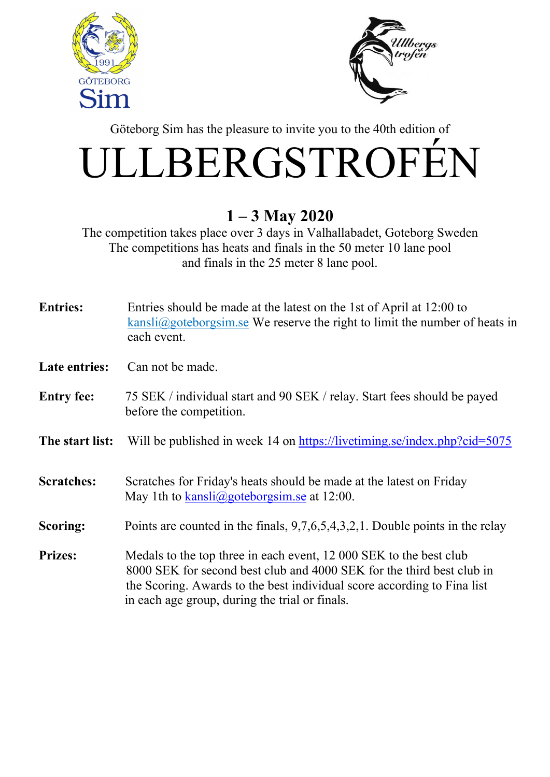



Göteborg Sim has the pleasure to invite you to the 40th edition of

## ULLBERGSTROFÉN

## 1 – 3 May 2020

The competition takes place over 3 days in Valhallabadet, Goteborg Sweden The competitions has heats and finals in the 50 meter 10 lane pool and finals in the 25 meter 8 lane pool.

| <b>Entries:</b>      | Entries should be made at the latest on the 1st of April at 12:00 to<br>$kansli@goteborgsim.se$ We reserve the right to limit the number of heats in<br>each event.                                                                                                      |
|----------------------|--------------------------------------------------------------------------------------------------------------------------------------------------------------------------------------------------------------------------------------------------------------------------|
| <b>Late entries:</b> | Can not be made.                                                                                                                                                                                                                                                         |
| <b>Entry fee:</b>    | 75 SEK / individual start and 90 SEK / relay. Start fees should be payed<br>before the competition.                                                                                                                                                                      |
| The start list:      | Will be published in week 14 on https://livetiming.se/index.php?cid=5075                                                                                                                                                                                                 |
| <b>Scratches:</b>    | Scratches for Friday's heats should be made at the latest on Friday<br>May 1th to $kansli(\omega)$ goteborgsim se at 12:00.                                                                                                                                              |
| <b>Scoring:</b>      | Points are counted in the finals, $9,7,6,5,4,3,2,1$ . Double points in the relay                                                                                                                                                                                         |
| <b>Prizes:</b>       | Medals to the top three in each event, 12 000 SEK to the best club<br>8000 SEK for second best club and 4000 SEK for the third best club in<br>the Scoring. Awards to the best individual score according to Fina list<br>in each age group, during the trial or finals. |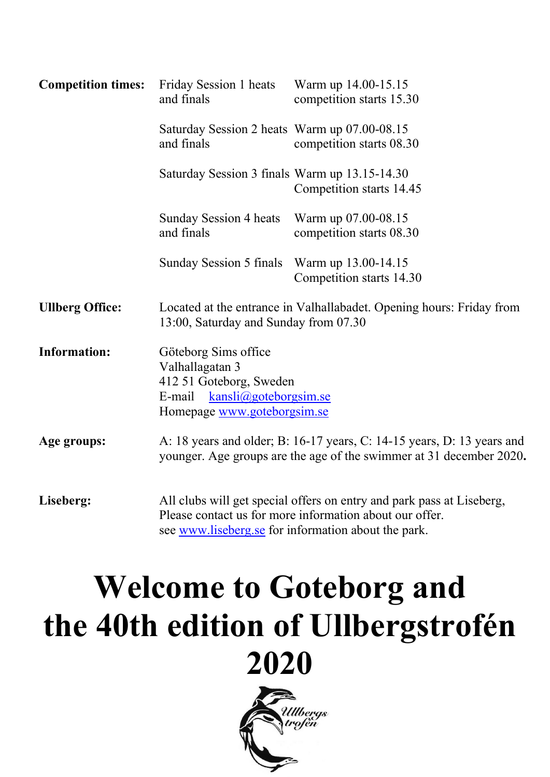| <b>Competition times:</b> | Friday Session 1 heats<br>and finals                                                                                                          | Warm up 14.00-15.15<br>competition starts 15.30                                                                                                                                         |  |  |  |  |  |
|---------------------------|-----------------------------------------------------------------------------------------------------------------------------------------------|-----------------------------------------------------------------------------------------------------------------------------------------------------------------------------------------|--|--|--|--|--|
|                           | Saturday Session 2 heats Warm up 07.00-08.15<br>and finals                                                                                    | competition starts 08.30                                                                                                                                                                |  |  |  |  |  |
|                           | Saturday Session 3 finals Warm up 13.15-14.30                                                                                                 | Competition starts 14.45                                                                                                                                                                |  |  |  |  |  |
|                           | Sunday Session 4 heats<br>and finals                                                                                                          | Warm up 07.00-08.15<br>competition starts 08.30                                                                                                                                         |  |  |  |  |  |
|                           | Sunday Session 5 finals Warm up 13.00-14.15                                                                                                   | Competition starts 14.30                                                                                                                                                                |  |  |  |  |  |
| <b>Ullberg Office:</b>    | Located at the entrance in Valhallabadet. Opening hours: Friday from<br>13:00, Saturday and Sunday from 07.30                                 |                                                                                                                                                                                         |  |  |  |  |  |
| <b>Information:</b>       | Göteborg Sims office<br>Valhallagatan 3<br>412 51 Goteborg, Sweden<br>E-mail<br>kansli@goteborgsim.se<br>Homepage www.goteborgsim.se          |                                                                                                                                                                                         |  |  |  |  |  |
| Age groups:               | A: 18 years and older; B: 16-17 years, C: 14-15 years, D: 13 years and<br>younger. Age groups are the age of the swimmer at 31 december 2020. |                                                                                                                                                                                         |  |  |  |  |  |
| Liseberg:                 |                                                                                                                                               | All clubs will get special offers on entry and park pass at Liseberg,<br>Please contact us for more information about our offer.<br>see www.liseberg.se for information about the park. |  |  |  |  |  |

## Welcome to Goteborg and the 40th edition of Ullbergstrofén